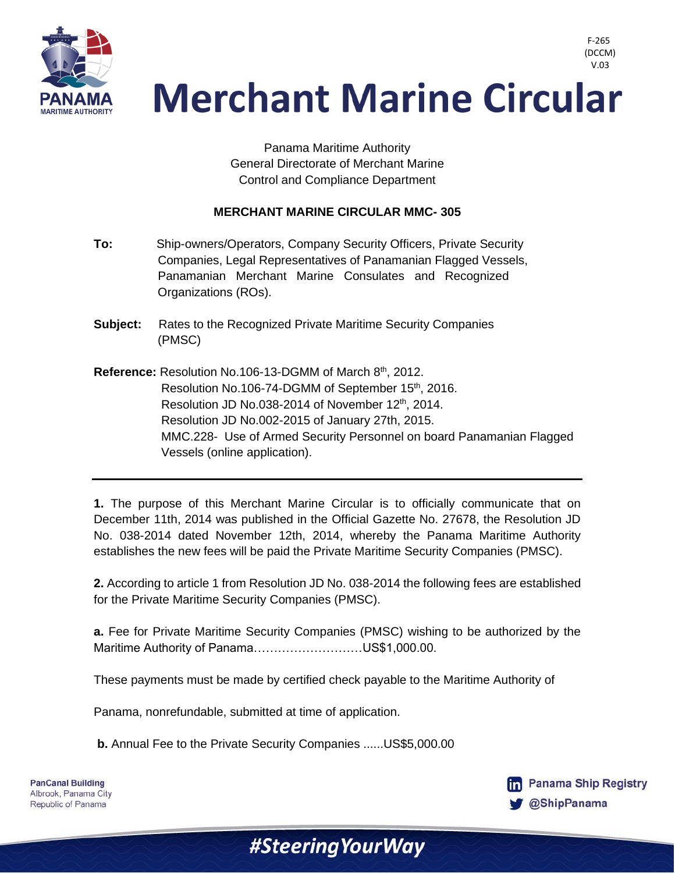

 V.03**Merchant Marine Circular** 

> Panama Maritime Authority General Directorate of Merchant Marine Control and Compliance Department

## **MERCHANT MARINE CIRCULAR MMC- 305**

- **To:** Ship-owners/Operators, Company Security Officers, Private Security Companies, Legal Representatives of Panamanian Flagged Vessels, Panamanian Merchant Marine Consulates and Recognized Organizations (ROs).
- **Subject:** Rates to the Recognized Private Maritime Security Companies (PMSC)
- **Reference:** Resolution No.106-13-DGMM of March 8<sup>th</sup>, 2012. Resolution No.106-74-DGMM of September 15<sup>th</sup>, 2016. Resolution JD No.038-2014 of November 12<sup>th</sup>, 2014. Resolution JD No.002-2015 of January 27th, 2015. MMC.228- Use of Armed Security Personnel on board Panamanian Flagged Vessels (online application).

**1.** The purpose of this Merchant Marine Circular is to officially communicate that on December 11th, 2014 was published in the Official Gazette No. 27678, the Resolution JD No. 038-2014 dated November 12th, 2014, whereby the Panama Maritime Authority establishes the new fees will be paid the Private Maritime Security Companies (PMSC).

**2.** According to article 1 from Resolution JD No. 038-2014 the following fees are established for the Private Maritime Security Companies (PMSC).

**a.** Fee for Private Maritime Security Companies (PMSC) wishing to be authorized by the Maritime Authority of Panama………………………US\$1,000.00.

#Steering Your Way

These payments must be made by certified check payable to the Maritime Authority of

Panama, nonrefundable, submitted at time of application.

**b.** Annual Fee to the Private Security Companies ......US\$5,000.00



F-265 (DCCM)